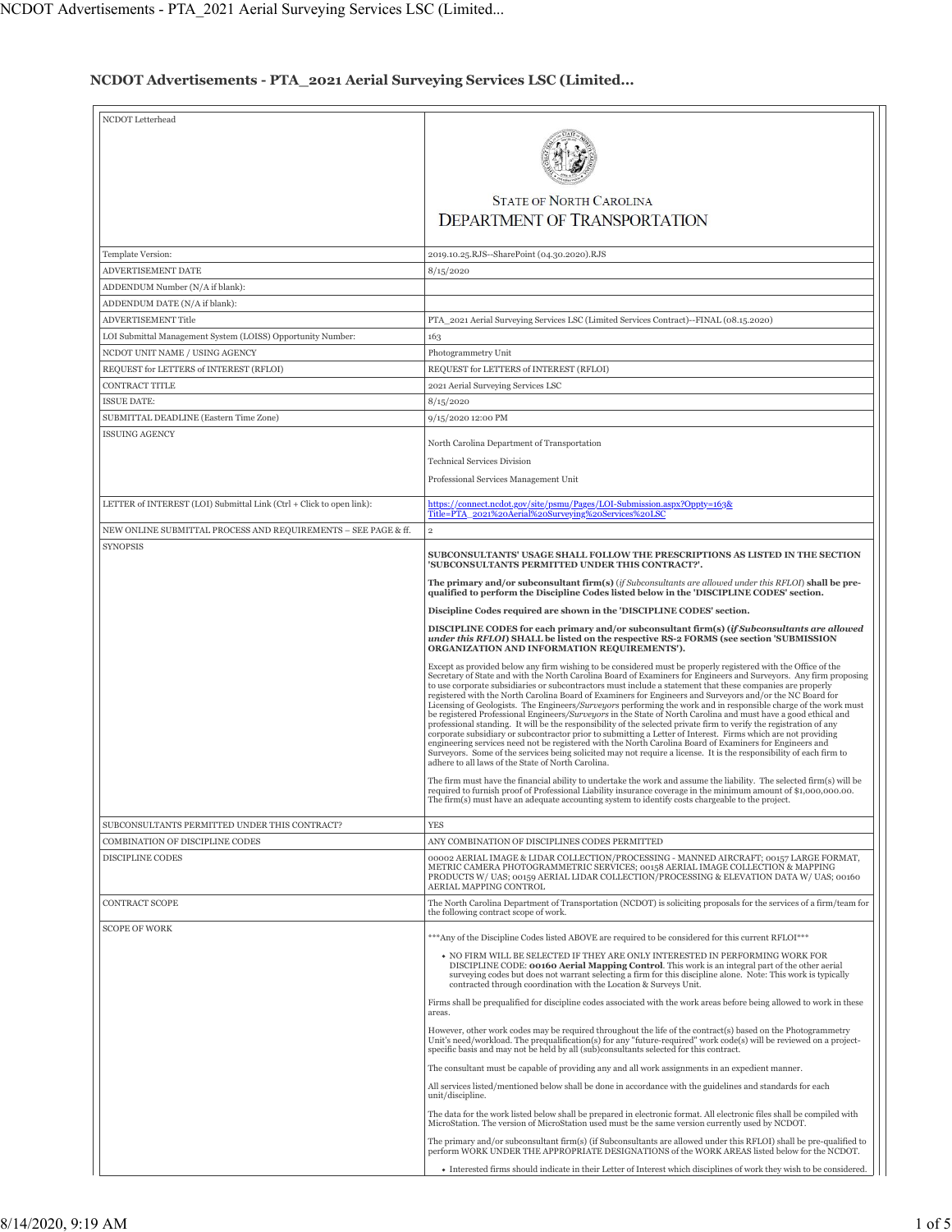## **NCDOT Advertisements - PTA\_2021 Aerial Surveying Services LSC (Limited...**

| NCDOT Letterhead                                                     |                                                                                                                                                                                                                                       |
|----------------------------------------------------------------------|---------------------------------------------------------------------------------------------------------------------------------------------------------------------------------------------------------------------------------------|
|                                                                      |                                                                                                                                                                                                                                       |
|                                                                      |                                                                                                                                                                                                                                       |
|                                                                      |                                                                                                                                                                                                                                       |
|                                                                      | <b>STATE OF NORTH CAROLINA</b>                                                                                                                                                                                                        |
|                                                                      | <b>DEPARTMENT OF TRANSPORTATION</b>                                                                                                                                                                                                   |
|                                                                      |                                                                                                                                                                                                                                       |
|                                                                      |                                                                                                                                                                                                                                       |
| Template Version:                                                    | 2019.10.25.RJS--SharePoint (04.30.2020).RJS                                                                                                                                                                                           |
| ADVERTISEMENT DATE                                                   | 8/15/2020                                                                                                                                                                                                                             |
| ADDENDUM Number (N/A if blank):                                      |                                                                                                                                                                                                                                       |
| ADDENDUM DATE (N/A if blank):<br><b>ADVERTISEMENT Title</b>          | PTA_2021 Aerial Surveying Services LSC (Limited Services Contract)--FINAL (08.15.2020)                                                                                                                                                |
| LOI Submittal Management System (LOISS) Opportunity Number:          |                                                                                                                                                                                                                                       |
| NCDOT UNIT NAME / USING AGENCY                                       | 163<br>Photogrammetry Unit                                                                                                                                                                                                            |
| REQUEST for LETTERS of INTEREST (RFLOI)                              | REQUEST for LETTERS of INTEREST (RFLOI)                                                                                                                                                                                               |
| CONTRACT TITLE                                                       | 2021 Aerial Surveying Services LSC                                                                                                                                                                                                    |
| <b>ISSUE DATE:</b>                                                   | 8/15/2020                                                                                                                                                                                                                             |
| SUBMITTAL DEADLINE (Eastern Time Zone)                               | 9/15/2020 12:00 PM                                                                                                                                                                                                                    |
| <b>ISSUING AGENCY</b>                                                |                                                                                                                                                                                                                                       |
|                                                                      | North Carolina Department of Transportation                                                                                                                                                                                           |
|                                                                      | <b>Technical Services Division</b>                                                                                                                                                                                                    |
|                                                                      | Professional Services Management Unit                                                                                                                                                                                                 |
| LETTER of INTEREST (LOI) Submittal Link (Ctrl + Click to open link): | https://connect.ncdot.gov/site/psmu/Pages/LOI-Submission.aspx?Oppty=163&                                                                                                                                                              |
|                                                                      | Title=PTA 2021%20Aerial%20Surveying%20Services%20LSC                                                                                                                                                                                  |
| NEW ONLINE SUBMITTAL PROCESS AND REQUIREMENTS - SEE PAGE & ff.       | $\overline{2}$                                                                                                                                                                                                                        |
| <b>SYNOPSIS</b>                                                      | SUBCONSULTANTS' USAGE SHALL FOLLOW THE PRESCRIPTIONS AS LISTED IN THE SECTION                                                                                                                                                         |
|                                                                      | 'SUBCONSULTANTS PERMITTED UNDER THIS CONTRACT?'.                                                                                                                                                                                      |
|                                                                      | The primary and/or subconsultant firm(s) (if Subconsultants are allowed under this RFLOI) shall be pre-<br>qualified to perform the Discipline Codes listed below in the 'DISCIPLINE CODES' section.                                  |
|                                                                      |                                                                                                                                                                                                                                       |
|                                                                      | Discipline Codes required are shown in the 'DISCIPLINE CODES' section.                                                                                                                                                                |
|                                                                      | DISCIPLINE CODES for each primary and/or subconsultant firm(s) (if Subconsultants are allowed<br>under this RFLOI) SHALL be listed on the respective RS-2 FORMS (see section 'SUBMISSION                                              |
|                                                                      | ORGANIZATION AND INFORMATION REQUIREMENTS').                                                                                                                                                                                          |
|                                                                      | Except as provided below any firm wishing to be considered must be properly registered with the Office of the<br>Secretary of State and with the North Carolina Board of Examiners for Engineers and Surveyors. Any firm proposing    |
|                                                                      | to use corporate subsidiaries or subcontractors must include a statement that these companies are properly<br>registered with the North Carolina Board of Examiners for Engineers and Surveyors and/or the NC Board for               |
|                                                                      | Licensing of Geologists. The Engineers/Surveyors performing the work and in responsible charge of the work must                                                                                                                       |
|                                                                      | be registered Professional Engineers/Surveyors in the State of North Carolina and must have a good ethical and<br>professional standing. It will be the responsibility of the selected private firm to verify the registration of any |
|                                                                      | corporate subsidiary or subcontractor prior to submitting a Letter of Interest. Firms which are not providing<br>engineering services need not be registered with the North Carolina Board of Examiners for Engineers and             |
|                                                                      | Surveyors. Some of the services being solicited may not require a license. It is the responsibility of each firm to<br>adhere to all laws of the State of North Carolina.                                                             |
|                                                                      | The firm must have the financial ability to undertake the work and assume the liability. The selected firm(s) will be                                                                                                                 |
|                                                                      | required to furnish proof of Professional Liability insurance coverage in the minimum amount of \$1,000,000.00.                                                                                                                       |
|                                                                      | The firm(s) must have an adequate accounting system to identify costs chargeable to the project                                                                                                                                       |
| SUBCONSULTANTS PERMITTED UNDER THIS CONTRACT?                        | <b>YES</b>                                                                                                                                                                                                                            |
| COMBINATION OF DISCIPLINE CODES                                      | ANY COMBINATION OF DISCIPLINES CODES PERMITTED                                                                                                                                                                                        |
| DISCIPLINE CODES                                                     | 00002 AERIAL IMAGE & LIDAR COLLECTION/PROCESSING - MANNED AIRCRAFT; 00157 LARGE FORMAT,                                                                                                                                               |
|                                                                      | METRIC CAMERA PHOTOGRAMMETRIC SERVICES; 00158 AERIAL IMAGE COLLECTION & MAPPING<br>PRODUCTS W/ UAS; 00159 AERIAL LIDAR COLLECTION/PROCESSING & ELEVATION DATA W/ UAS; 00160                                                           |
|                                                                      | AERIAL MAPPING CONTROL                                                                                                                                                                                                                |
| CONTRACT SCOPE                                                       | The North Carolina Department of Transportation (NCDOT) is soliciting proposals for the services of a firm/team for<br>the following contract scope of work.                                                                          |
| <b>SCOPE OF WORK</b>                                                 |                                                                                                                                                                                                                                       |
|                                                                      | ***Any of the Discipline Codes listed ABOVE are required to be considered for this current RFLOI***                                                                                                                                   |
|                                                                      | • NO FIRM WILL BE SELECTED IF THEY ARE ONLY INTERESTED IN PERFORMING WORK FOR<br>DISCIPLINE CODE: 00160 Aerial Mapping Control. This work is an integral part of the other aerial                                                     |
|                                                                      | surveying codes but does not warrant selecting a firm for this discipline alone. Note: This work is typically<br>contracted through coordination with the Location & Surveys Unit.                                                    |
|                                                                      | Firms shall be prequalified for discipline codes associated with the work areas before being allowed to work in these                                                                                                                 |
|                                                                      | areas.                                                                                                                                                                                                                                |
|                                                                      | However, other work codes may be required throughout the life of the contract(s) based on the Photogrammetry                                                                                                                          |
|                                                                      | Unit's need/workload. The prequalification(s) for any "future-required" work code(s) will be reviewed on a project-<br>specific basis and may not be held by all (sub)consultants selected for this contract.                         |
|                                                                      | The consultant must be capable of providing any and all work assignments in an expedient manner.                                                                                                                                      |
|                                                                      | All services listed/mentioned below shall be done in accordance with the guidelines and standards for each                                                                                                                            |
|                                                                      | unit/discipline.                                                                                                                                                                                                                      |
|                                                                      | The data for the work listed below shall be prepared in electronic format. All electronic files shall be compiled with<br>MicroStation. The version of MicroStation used must be the same version currently used by NCDOT.            |
|                                                                      | The primary and/or subconsultant firm(s) (if Subconsultants are allowed under this RFLOI) shall be pre-qualified to                                                                                                                   |
|                                                                      | perform WORK UNDER THE APPROPRIATE DESIGNATIONS of the WORK AREAS listed below for the NCDOT.                                                                                                                                         |
|                                                                      | • Interested firms should indicate in their Letter of Interest which disciplines of work they wish to be considered.                                                                                                                  |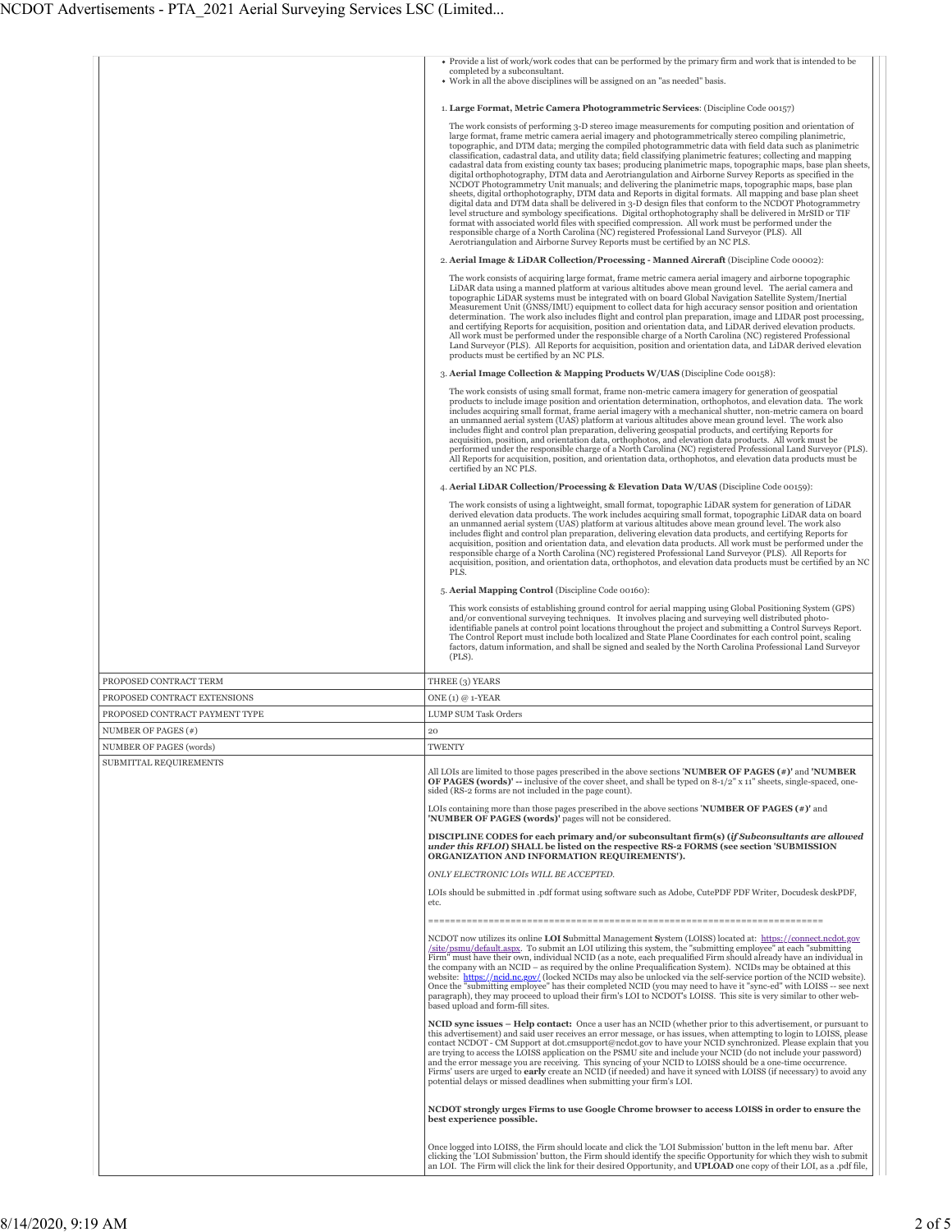|                                | • Provide a list of work/work codes that can be performed by the primary firm and work that is intended to be<br>completed by a subconsultant.<br>• Work in all the above disciplines will be assigned on an "as needed" basis.                                                                                                                                                                                                                                                                                                                                                                                                                                                                                                                                                                                                                                                                                                                                                                                                                                                                                                                                                                                                                                                                                                                                                                                                                                                                            |
|--------------------------------|------------------------------------------------------------------------------------------------------------------------------------------------------------------------------------------------------------------------------------------------------------------------------------------------------------------------------------------------------------------------------------------------------------------------------------------------------------------------------------------------------------------------------------------------------------------------------------------------------------------------------------------------------------------------------------------------------------------------------------------------------------------------------------------------------------------------------------------------------------------------------------------------------------------------------------------------------------------------------------------------------------------------------------------------------------------------------------------------------------------------------------------------------------------------------------------------------------------------------------------------------------------------------------------------------------------------------------------------------------------------------------------------------------------------------------------------------------------------------------------------------------|
|                                |                                                                                                                                                                                                                                                                                                                                                                                                                                                                                                                                                                                                                                                                                                                                                                                                                                                                                                                                                                                                                                                                                                                                                                                                                                                                                                                                                                                                                                                                                                            |
|                                | 1. Large Format, Metric Camera Photogrammetric Services: (Discipline Code 00157)<br>The work consists of performing 3-D stereo image measurements for computing position and orientation of<br>large format, frame metric camera aerial imagery and photogrammetrically stereo compiling planimetric,<br>topographic, and DTM data; merging the compiled photogrammetric data with field data such as planimetric<br>classification, cadastral data, and utility data; field classifying planimetric features; collecting and mapping<br>cadastral data from existing county tax bases; producing planimetric maps, topographic maps, base plan sheets,<br>digital orthophotography, DTM data and Aerotriangulation and Airborne Survey Reports as specified in the<br>NCDOT Photogrammetry Unit manuals; and delivering the planimetric maps, topographic maps, base plan<br>sheets, digital orthophotography, DTM data and Reports in digital formats. All mapping and base plan sheet<br>digital data and DTM data shall be delivered in 3-D design files that conform to the NCDOT Photogrammetry<br>level structure and symbology specifications. Digital orthophotography shall be delivered in MrSID or TIF<br>format with associated world files with specified compression. All work must be performed under the<br>responsible charge of a North Carolina (NC) registered Professional Land Surveyor (PLS). All<br>Aerotriangulation and Airborne Survey Reports must be certified by an NC PLS. |
|                                |                                                                                                                                                                                                                                                                                                                                                                                                                                                                                                                                                                                                                                                                                                                                                                                                                                                                                                                                                                                                                                                                                                                                                                                                                                                                                                                                                                                                                                                                                                            |
|                                | 2. Aerial Image & LiDAR Collection/Processing - Manned Aircraft (Discipline Code 00002):<br>The work consists of acquiring large format, frame metric camera aerial imagery and airborne topographic<br>LiDAR data using a manned platform at various altitudes above mean ground level. The aerial camera and<br>topographic LiDAR systems must be integrated with on board Global Navigation Satellite System/Inertial<br>Measurement Unit (GNSS/IMU) equipment to collect data for high accuracy sensor position and orientation<br>determination. The work also includes flight and control plan preparation, image and LIDAR post processing,<br>and certifying Reports for acquisition, position and orientation data, and LiDAR derived elevation products.<br>All work must be performed under the responsible charge of a North Carolina (NC) registered Professional<br>Land Surveyor (PLS). All Reports for acquisition, position and orientation data, and LiDAR derived elevation<br>products must be certified by an NC PLS.                                                                                                                                                                                                                                                                                                                                                                                                                                                                 |
|                                | 3. Aerial Image Collection & Mapping Products W/UAS (Discipline Code 00158):                                                                                                                                                                                                                                                                                                                                                                                                                                                                                                                                                                                                                                                                                                                                                                                                                                                                                                                                                                                                                                                                                                                                                                                                                                                                                                                                                                                                                               |
|                                | The work consists of using small format, frame non-metric camera imagery for generation of geospatial<br>products to include image position and orientation determination, orthophotos, and elevation data. The work<br>includes acquiring small format, frame aerial imagery with a mechanical shutter, non-metric camera on board<br>an unmanned aerial system (UAS) platform at various altitudes above mean ground level. The work also<br>includes flight and control plan preparation, delivering geospatial products, and certifying Reports for<br>acquisition, position, and orientation data, orthophotos, and elevation data products. All work must be<br>performed under the responsible charge of a North Carolina (NC) registered Professional Land Surveyor (PLS).<br>All Reports for acquisition, position, and orientation data, orthophotos, and elevation data products must be<br>certified by an NC PLS.                                                                                                                                                                                                                                                                                                                                                                                                                                                                                                                                                                             |
|                                | 4. Aerial LiDAR Collection/Processing & Elevation Data W/UAS (Discipline Code 00159):                                                                                                                                                                                                                                                                                                                                                                                                                                                                                                                                                                                                                                                                                                                                                                                                                                                                                                                                                                                                                                                                                                                                                                                                                                                                                                                                                                                                                      |
|                                | The work consists of using a lightweight, small format, topographic LiDAR system for generation of LiDAR<br>derived elevation data products. The work includes acquiring small format, topographic LiDAR data on board<br>an unmanned aerial system (UAS) platform at various altitudes above mean ground level. The work also<br>includes flight and control plan preparation, delivering elevation data products, and certifying Reports for<br>acquisition, position and orientation data, and elevation data products. All work must be performed under the<br>responsible charge of a North Carolina (NC) registered Professional Land Surveyor (PLS). All Reports for<br>acquisition, position, and orientation data, orthophotos, and elevation data products must be certified by an NC<br>PLS.                                                                                                                                                                                                                                                                                                                                                                                                                                                                                                                                                                                                                                                                                                    |
|                                | 5. Aerial Mapping Control (Discipline Code 00160):                                                                                                                                                                                                                                                                                                                                                                                                                                                                                                                                                                                                                                                                                                                                                                                                                                                                                                                                                                                                                                                                                                                                                                                                                                                                                                                                                                                                                                                         |
|                                | This work consists of establishing ground control for aerial mapping using Global Positioning System (GPS)<br>and/or conventional surveying techniques. It involves placing and surveying well distributed photo-<br>identifiable panels at control point locations throughout the project and submitting a Control Surveys Report.<br>The Control Report must include both localized and State Plane Coordinates for each control point, scaling<br>factors, datum information, and shall be signed and sealed by the North Carolina Professional Land Surveyor<br>$(PLS)$ .                                                                                                                                                                                                                                                                                                                                                                                                                                                                                                                                                                                                                                                                                                                                                                                                                                                                                                                              |
| PROPOSED CONTRACT TERM         | THREE (3) YEARS                                                                                                                                                                                                                                                                                                                                                                                                                                                                                                                                                                                                                                                                                                                                                                                                                                                                                                                                                                                                                                                                                                                                                                                                                                                                                                                                                                                                                                                                                            |
| PROPOSED CONTRACT EXTENSIONS   | ONE $(1)$ @ 1-YEAR                                                                                                                                                                                                                                                                                                                                                                                                                                                                                                                                                                                                                                                                                                                                                                                                                                                                                                                                                                                                                                                                                                                                                                                                                                                                                                                                                                                                                                                                                         |
| PROPOSED CONTRACT PAYMENT TYPE | <b>LUMP SUM Task Orders</b>                                                                                                                                                                                                                                                                                                                                                                                                                                                                                                                                                                                                                                                                                                                                                                                                                                                                                                                                                                                                                                                                                                                                                                                                                                                                                                                                                                                                                                                                                |
| NUMBER OF PAGES (#)            | 20                                                                                                                                                                                                                                                                                                                                                                                                                                                                                                                                                                                                                                                                                                                                                                                                                                                                                                                                                                                                                                                                                                                                                                                                                                                                                                                                                                                                                                                                                                         |
| NUMBER OF PAGES (words)        | <b>TWENTY</b>                                                                                                                                                                                                                                                                                                                                                                                                                                                                                                                                                                                                                                                                                                                                                                                                                                                                                                                                                                                                                                                                                                                                                                                                                                                                                                                                                                                                                                                                                              |
| SUBMITTAL REQUIREMENTS         | All LOIs are limited to those pages prescribed in the above sections <b>NUMBER OF PAGES</b> (#)' and <b>NUMBER</b><br><b>OF PAGES (words)'</b> -- inclusive of the cover sheet, and shall be typed on $8-1/2$ " x 11" sheets, single-spaced, one-<br>sided (RS-2 forms are not included in the page count).<br>LOIs containing more than those pages prescribed in the above sections 'NUMBER OF PAGES $(*)$ ' and<br>'NUMBER OF PAGES (words)' pages will not be considered.                                                                                                                                                                                                                                                                                                                                                                                                                                                                                                                                                                                                                                                                                                                                                                                                                                                                                                                                                                                                                              |
|                                | DISCIPLINE CODES for each primary and/or subconsultant firm(s) (if Subconsultants are allowed<br>under this RFLOI) SHALL be listed on the respective RS-2 FORMS (see section 'SUBMISSION<br>ORGANIZATION AND INFORMATION REQUIREMENTS').                                                                                                                                                                                                                                                                                                                                                                                                                                                                                                                                                                                                                                                                                                                                                                                                                                                                                                                                                                                                                                                                                                                                                                                                                                                                   |
|                                | ONLY ELECTRONIC LOIS WILL BE ACCEPTED.                                                                                                                                                                                                                                                                                                                                                                                                                                                                                                                                                                                                                                                                                                                                                                                                                                                                                                                                                                                                                                                                                                                                                                                                                                                                                                                                                                                                                                                                     |
|                                | LOIs should be submitted in .pdf format using software such as Adobe, CutePDF PDF Writer, Docudesk deskPDF,<br>etc.                                                                                                                                                                                                                                                                                                                                                                                                                                                                                                                                                                                                                                                                                                                                                                                                                                                                                                                                                                                                                                                                                                                                                                                                                                                                                                                                                                                        |
|                                |                                                                                                                                                                                                                                                                                                                                                                                                                                                                                                                                                                                                                                                                                                                                                                                                                                                                                                                                                                                                                                                                                                                                                                                                                                                                                                                                                                                                                                                                                                            |
|                                | NCDOT now utilizes its online <b>LOI Submittal Management System</b> (LOISS) located at: https://connect.ncdot.gov<br>/site/psmu/default.aspx. To submit an LOI utilizing this system, the "submitting employee" at each "submitting<br>Firm" must have their own, individual NCID (as a note, each prequalified Firm should already have an individual in<br>the company with an NCID $-$ as required by the online Prequalification System). NCIDs may be obtained at this<br>website: https://ncid.nc.gov/ (locked NCIDs may also be unlocked via the self-service portion of the NCID website).<br>Once the "submitting employee" has their completed NCID (you may need to have it "sync-ed" with LOISS -- see next<br>paragraph), they may proceed to upload their firm's LOI to NCDOT's LOISS. This site is very similar to other web-<br>based upload and form-fill sites.                                                                                                                                                                                                                                                                                                                                                                                                                                                                                                                                                                                                                         |
|                                | NCID sync issues - Help contact: Once a user has an NCID (whether prior to this advertisement, or pursuant to<br>this advertisement) and said user receives an error message, or has issues, when attempting to login to LOISS, please<br>contact NCDOT - CM Support at dot.cmsupport@ncdot.gov to have your NCID synchronized. Please explain that you<br>are trying to access the LOISS application on the PSMU site and include your NCID (do not include your password)<br>and the error message you are receiving. This syncing of your NCID to LOISS should be a one-time occurrence.<br>Firms' users are urged to <b>early</b> create an NCID (if needed) and have it synced with LOISS (if necessary) to avoid any<br>potential delays or missed deadlines when submitting your firm's LOI.                                                                                                                                                                                                                                                                                                                                                                                                                                                                                                                                                                                                                                                                                                        |
|                                | NCDOT strongly urges Firms to use Google Chrome browser to access LOISS in order to ensure the<br>best experience possible.                                                                                                                                                                                                                                                                                                                                                                                                                                                                                                                                                                                                                                                                                                                                                                                                                                                                                                                                                                                                                                                                                                                                                                                                                                                                                                                                                                                |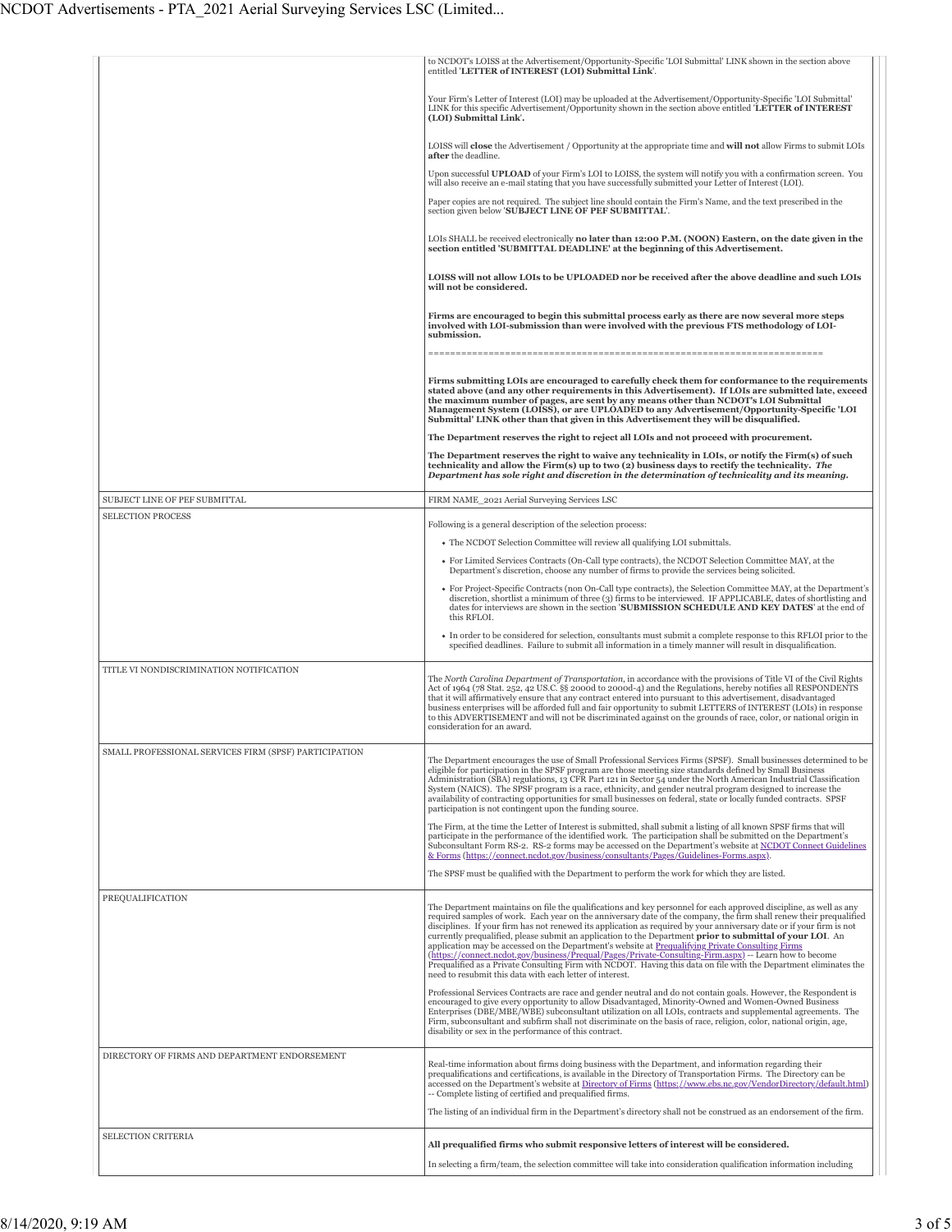|                                                       | to NCDOT's LOISS at the Advertisement/Opportunity-Specific 'LOI Submittal' LINK shown in the section above<br>entitled 'LETTER of INTEREST (LOI) Submittal Link'.                                                                                                                                                                                                                                                                                                                                                                                                                                                                                  |
|-------------------------------------------------------|----------------------------------------------------------------------------------------------------------------------------------------------------------------------------------------------------------------------------------------------------------------------------------------------------------------------------------------------------------------------------------------------------------------------------------------------------------------------------------------------------------------------------------------------------------------------------------------------------------------------------------------------------|
|                                                       | Your Firm's Letter of Interest (LOI) may be uploaded at the Advertisement/Opportunity-Specific 'LOI Submittal'<br>LINK for this specific Advertisement/Opportunity shown in the section above entitled 'LETTER of INTEREST<br>(LOI) Submittal Link'.                                                                                                                                                                                                                                                                                                                                                                                               |
|                                                       | LOISS will close the Advertisement / Opportunity at the appropriate time and will not allow Firms to submit LOIs<br>after the deadline.                                                                                                                                                                                                                                                                                                                                                                                                                                                                                                            |
|                                                       | Upon successful UPLOAD of your Firm's LOI to LOISS, the system will notify you with a confirmation screen. You<br>will also receive an e-mail stating that you have successfully submitted your Letter of Interest (LOI).                                                                                                                                                                                                                                                                                                                                                                                                                          |
|                                                       | Paper copies are not required. The subject line should contain the Firm's Name, and the text prescribed in the<br>section given below 'SUBJECT LINE OF PEF SUBMITTAL'.                                                                                                                                                                                                                                                                                                                                                                                                                                                                             |
|                                                       | LOIs SHALL be received electronically no later than 12:00 P.M. (NOON) Eastern, on the date given in the<br>section entitled 'SUBMITTAL DEADLINE' at the beginning of this Advertisement.                                                                                                                                                                                                                                                                                                                                                                                                                                                           |
|                                                       | LOISS will not allow LOIs to be UPLOADED nor be received after the above deadline and such LOIs<br>will not be considered.                                                                                                                                                                                                                                                                                                                                                                                                                                                                                                                         |
|                                                       | Firms are encouraged to begin this submittal process early as there are now several more steps<br>involved with LOI-submission than were involved with the previous FTS methodology of LOI-<br>submission.                                                                                                                                                                                                                                                                                                                                                                                                                                         |
|                                                       | -----------------------                                                                                                                                                                                                                                                                                                                                                                                                                                                                                                                                                                                                                            |
|                                                       | Firms submitting LOIs are encouraged to carefully check them for conformance to the requirements<br>stated above (and any other requirements in this Advertisement). If LOIs are submitted late, exceed<br>the maximum number of pages, are sent by any means other than NCDOT's LOI Submittal<br>Management System (LOISS), or are UPLOADED to any Advertisement/Opportunity-Specific 'LOI<br>Submittal' LINK other than that given in this Advertisement they will be disqualified.                                                                                                                                                              |
|                                                       | The Department reserves the right to reject all LOIs and not proceed with procurement.                                                                                                                                                                                                                                                                                                                                                                                                                                                                                                                                                             |
|                                                       | The Department reserves the right to waive any technicality in LOIs, or notify the Firm(s) of such<br>technicality and allow the $Firm(s)$ up to two (2) business days to rectify the technicality. The<br>Department has sole right and discretion in the determination of technicality and its meaning.                                                                                                                                                                                                                                                                                                                                          |
| SUBJECT LINE OF PEF SUBMITTAL                         | FIRM NAME_2021 Aerial Surveying Services LSC                                                                                                                                                                                                                                                                                                                                                                                                                                                                                                                                                                                                       |
| <b>SELECTION PROCESS</b>                              | Following is a general description of the selection process:                                                                                                                                                                                                                                                                                                                                                                                                                                                                                                                                                                                       |
|                                                       | • The NCDOT Selection Committee will review all qualifying LOI submittals.                                                                                                                                                                                                                                                                                                                                                                                                                                                                                                                                                                         |
|                                                       | • For Limited Services Contracts (On-Call type contracts), the NCDOT Selection Committee MAY, at the<br>Department's discretion, choose any number of firms to provide the services being solicited.                                                                                                                                                                                                                                                                                                                                                                                                                                               |
|                                                       | • For Project-Specific Contracts (non On-Call type contracts), the Selection Committee MAY, at the Department's<br>discretion, shortlist a minimum of three (3) firms to be interviewed. IF APPLICABLE, dates of shortlisting and<br>dates for interviews are shown in the section 'SUBMISSION SCHEDULE AND KEY DATES' at the end of<br>this RFLOI.                                                                                                                                                                                                                                                                                                |
|                                                       | • In order to be considered for selection, consultants must submit a complete response to this RFLOI prior to the<br>specified deadlines. Failure to submit all information in a timely manner will result in disqualification.                                                                                                                                                                                                                                                                                                                                                                                                                    |
| TITLE VI NONDISCRIMINATION NOTIFICATION               |                                                                                                                                                                                                                                                                                                                                                                                                                                                                                                                                                                                                                                                    |
|                                                       | The North Carolina Department of Transportation, in accordance with the provisions of Title VI of the Civil Rights<br>Act of 1964 (78 Stat. 252, 42 US.C. §§ 2000d to 2000d-4) and the Regulations, hereby notifies all RESPONDENTS<br>that it will affirmatively ensure that any contract entered into pursuant to this advertisement, disadvantaged<br>business enterprises will be afforded full and fair opportunity to submit LETTERS of INTEREST (LOIs) in response<br>to this ADVERTISEMENT and will not be discriminated against on the grounds of race, color, or national origin in<br>consideration for an award.                       |
| SMALL PROFESSIONAL SERVICES FIRM (SPSF) PARTICIPATION |                                                                                                                                                                                                                                                                                                                                                                                                                                                                                                                                                                                                                                                    |
|                                                       | The Department encourages the use of Small Professional Services Firms (SPSF). Small businesses determined to be<br>eligible for participation in the SPSF program are those meeting size standards defined by Small Business<br>Administration (SBA) regulations, 13 CFR Part 121 in Sector 54 under the North American Industrial Classification<br>System (NAICS). The SPSF program is a race, ethnicity, and gender neutral program designed to increase the<br>availability of contracting opportunities for small businesses on federal, state or locally funded contracts. SPSF<br>participation is not contingent upon the funding source. |
|                                                       | The Firm, at the time the Letter of Interest is submitted, shall submit a listing of all known SPSF firms that will<br>participate in the performance of the identified work. The participation shall be submitted on the Department's<br>Subconsultant Form RS-2. RS-2 forms may be accessed on the Department's website at NCDOT Connect Guidelines<br>& Forms (https://connect.ncdot.gov/business/consultants/Pages/Guidelines-Forms.aspx).                                                                                                                                                                                                     |
|                                                       | The SPSF must be qualified with the Department to perform the work for which they are listed.                                                                                                                                                                                                                                                                                                                                                                                                                                                                                                                                                      |
| PREQUALIFICATION                                      | The Department maintains on file the qualifications and key personnel for each approved discipline, as well as any<br>required samples of work. Each year on the anniversary date of the company, the firm shall renew their prequalified<br>disciplines. If your firm has not renewed its application as required by your anniversary date or if your firm is not<br>currently prequalified, please submit an application to the Department prior to submittal of your LOI. An<br>application may be accessed on the Department's website at Prequalifying Private Consulting Firms                                                               |
|                                                       | (https://connect.ncdot.gov/business/Prequal/Pages/Private-Consulting-Firm.aspx) -- Learn how to become<br>Prequalified as a Private Consulting Firm with NCDOT. Having this data on file with the Department eliminates the<br>need to resubmit this data with each letter of interest.                                                                                                                                                                                                                                                                                                                                                            |
|                                                       | Professional Services Contracts are race and gender neutral and do not contain goals. However, the Respondent is<br>encouraged to give every opportunity to allow Disadvantaged, Minority-Owned and Women-Owned Business<br>Enterprises (DBE/MBE/WBE) subconsultant utilization on all LOIs, contracts and supplemental agreements. The<br>Firm, subconsultant and subfirm shall not discriminate on the basis of race, religion, color, national origin, age,<br>disability or sex in the performance of this contract.                                                                                                                           |
| DIRECTORY OF FIRMS AND DEPARTMENT ENDORSEMENT         | Real-time information about firms doing business with the Department, and information regarding their<br>prequalifications and certifications, is available in the Directory of Transportation Firms. The Directory can be<br>accessed on the Department's website at Directory of Firms (https://www.ebs.nc.gov/VendorDirectory/default.html)<br>-- Complete listing of certified and prequalified firms.<br>The listing of an individual firm in the Department's directory shall not be construed as an endorsement of the firm.                                                                                                                |
| <b>SELECTION CRITERIA</b>                             |                                                                                                                                                                                                                                                                                                                                                                                                                                                                                                                                                                                                                                                    |
|                                                       | All prequalified firms who submit responsive letters of interest will be considered.                                                                                                                                                                                                                                                                                                                                                                                                                                                                                                                                                               |
|                                                       | In selecting a firm/team, the selection committee will take into consideration qualification information including                                                                                                                                                                                                                                                                                                                                                                                                                                                                                                                                 |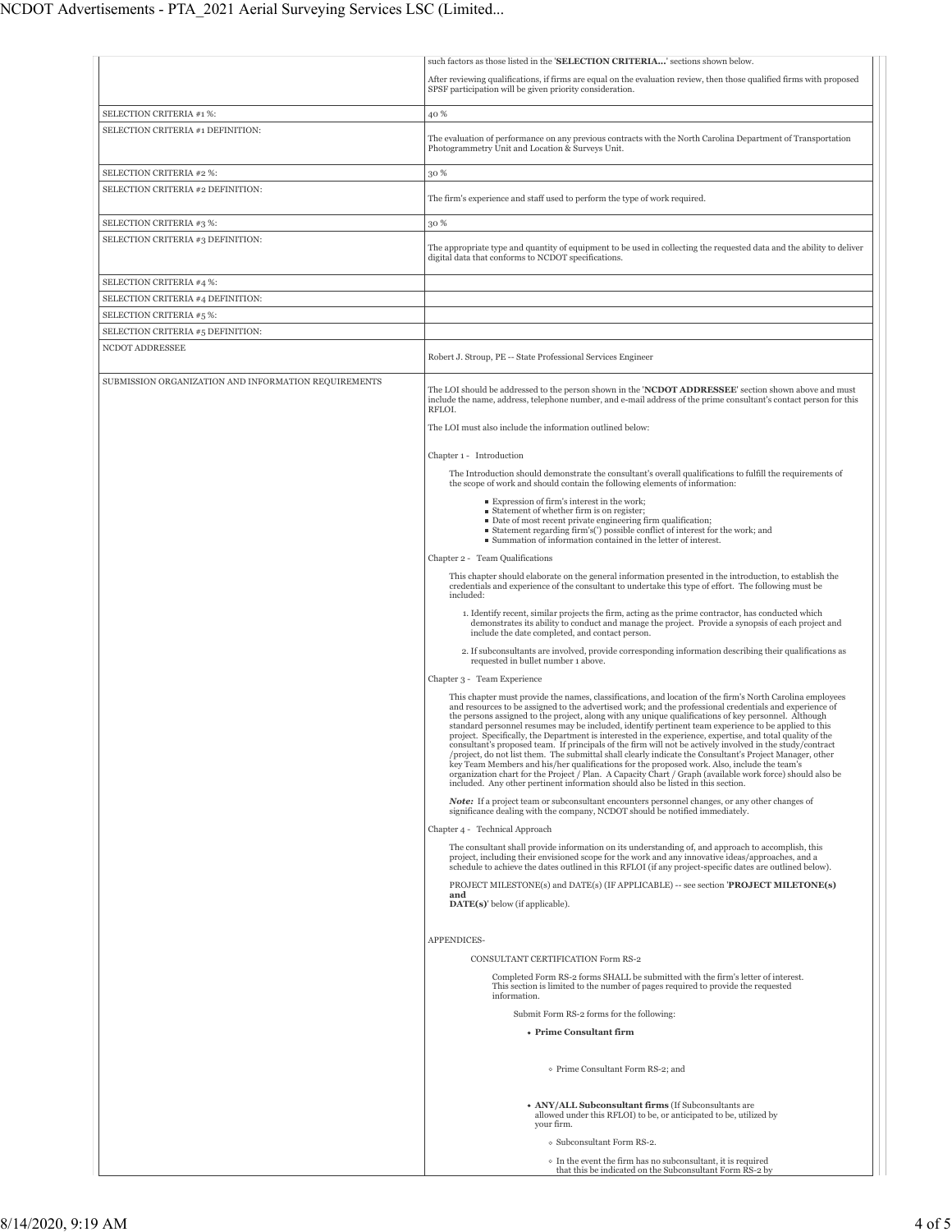|                                                      | such factors as those listed in the 'SELECTION CRITERIA' sections shown below.                                                                                                                                                                                                                                                                                                                                                                                                                                                                                                                                                                                                                                                                                                                                                                                                                                                                                                                                                                                              |
|------------------------------------------------------|-----------------------------------------------------------------------------------------------------------------------------------------------------------------------------------------------------------------------------------------------------------------------------------------------------------------------------------------------------------------------------------------------------------------------------------------------------------------------------------------------------------------------------------------------------------------------------------------------------------------------------------------------------------------------------------------------------------------------------------------------------------------------------------------------------------------------------------------------------------------------------------------------------------------------------------------------------------------------------------------------------------------------------------------------------------------------------|
|                                                      | After reviewing qualifications, if firms are equal on the evaluation review, then those qualified firms with proposed                                                                                                                                                                                                                                                                                                                                                                                                                                                                                                                                                                                                                                                                                                                                                                                                                                                                                                                                                       |
|                                                      | SPSF participation will be given priority consideration.                                                                                                                                                                                                                                                                                                                                                                                                                                                                                                                                                                                                                                                                                                                                                                                                                                                                                                                                                                                                                    |
|                                                      |                                                                                                                                                                                                                                                                                                                                                                                                                                                                                                                                                                                                                                                                                                                                                                                                                                                                                                                                                                                                                                                                             |
| SELECTION CRITERIA #1 %:                             | 40 %                                                                                                                                                                                                                                                                                                                                                                                                                                                                                                                                                                                                                                                                                                                                                                                                                                                                                                                                                                                                                                                                        |
| SELECTION CRITERIA #1 DEFINITION:                    | The evaluation of performance on any previous contracts with the North Carolina Department of Transportation<br>Photogrammetry Unit and Location & Surveys Unit.                                                                                                                                                                                                                                                                                                                                                                                                                                                                                                                                                                                                                                                                                                                                                                                                                                                                                                            |
| SELECTION CRITERIA #2 %:                             | 30 %                                                                                                                                                                                                                                                                                                                                                                                                                                                                                                                                                                                                                                                                                                                                                                                                                                                                                                                                                                                                                                                                        |
| SELECTION CRITERIA #2 DEFINITION:                    |                                                                                                                                                                                                                                                                                                                                                                                                                                                                                                                                                                                                                                                                                                                                                                                                                                                                                                                                                                                                                                                                             |
|                                                      | The firm's experience and staff used to perform the type of work required.                                                                                                                                                                                                                                                                                                                                                                                                                                                                                                                                                                                                                                                                                                                                                                                                                                                                                                                                                                                                  |
| SELECTION CRITERIA #3 %:                             | 30 %                                                                                                                                                                                                                                                                                                                                                                                                                                                                                                                                                                                                                                                                                                                                                                                                                                                                                                                                                                                                                                                                        |
| SELECTION CRITERIA #3 DEFINITION:                    | The appropriate type and quantity of equipment to be used in collecting the requested data and the ability to deliver                                                                                                                                                                                                                                                                                                                                                                                                                                                                                                                                                                                                                                                                                                                                                                                                                                                                                                                                                       |
|                                                      | digital data that conforms to NCDOT specifications.                                                                                                                                                                                                                                                                                                                                                                                                                                                                                                                                                                                                                                                                                                                                                                                                                                                                                                                                                                                                                         |
| SELECTION CRITERIA #4 %:                             |                                                                                                                                                                                                                                                                                                                                                                                                                                                                                                                                                                                                                                                                                                                                                                                                                                                                                                                                                                                                                                                                             |
|                                                      |                                                                                                                                                                                                                                                                                                                                                                                                                                                                                                                                                                                                                                                                                                                                                                                                                                                                                                                                                                                                                                                                             |
| SELECTION CRITERIA #4 DEFINITION:                    |                                                                                                                                                                                                                                                                                                                                                                                                                                                                                                                                                                                                                                                                                                                                                                                                                                                                                                                                                                                                                                                                             |
| SELECTION CRITERIA #5 %:                             |                                                                                                                                                                                                                                                                                                                                                                                                                                                                                                                                                                                                                                                                                                                                                                                                                                                                                                                                                                                                                                                                             |
| SELECTION CRITERIA #5 DEFINITION:                    |                                                                                                                                                                                                                                                                                                                                                                                                                                                                                                                                                                                                                                                                                                                                                                                                                                                                                                                                                                                                                                                                             |
| NCDOT ADDRESSEE                                      | Robert J. Stroup, PE -- State Professional Services Engineer                                                                                                                                                                                                                                                                                                                                                                                                                                                                                                                                                                                                                                                                                                                                                                                                                                                                                                                                                                                                                |
| SUBMISSION ORGANIZATION AND INFORMATION REQUIREMENTS | The LOI should be addressed to the person shown in the 'NCDOT ADDRESSEE' section shown above and must<br>include the name, address, telephone number, and e-mail address of the prime consultant's contact person for this<br>RFLOL.<br>The LOI must also include the information outlined below:                                                                                                                                                                                                                                                                                                                                                                                                                                                                                                                                                                                                                                                                                                                                                                           |
|                                                      |                                                                                                                                                                                                                                                                                                                                                                                                                                                                                                                                                                                                                                                                                                                                                                                                                                                                                                                                                                                                                                                                             |
|                                                      | Chapter 1 - Introduction                                                                                                                                                                                                                                                                                                                                                                                                                                                                                                                                                                                                                                                                                                                                                                                                                                                                                                                                                                                                                                                    |
|                                                      | The Introduction should demonstrate the consultant's overall qualifications to fulfill the requirements of<br>the scope of work and should contain the following elements of information:                                                                                                                                                                                                                                                                                                                                                                                                                                                                                                                                                                                                                                                                                                                                                                                                                                                                                   |
|                                                      | Expression of firm's interest in the work;                                                                                                                                                                                                                                                                                                                                                                                                                                                                                                                                                                                                                                                                                                                                                                                                                                                                                                                                                                                                                                  |
|                                                      | • Statement of whether firm is on register;                                                                                                                                                                                                                                                                                                                                                                                                                                                                                                                                                                                                                                                                                                                                                                                                                                                                                                                                                                                                                                 |
|                                                      | • Date of most recent private engineering firm qualification;<br>• Statement regarding firm's(') possible conflict of interest for the work; and                                                                                                                                                                                                                                                                                                                                                                                                                                                                                                                                                                                                                                                                                                                                                                                                                                                                                                                            |
|                                                      | ■ Summation of information contained in the letter of interest.                                                                                                                                                                                                                                                                                                                                                                                                                                                                                                                                                                                                                                                                                                                                                                                                                                                                                                                                                                                                             |
|                                                      | Chapter 2 - Team Qualifications                                                                                                                                                                                                                                                                                                                                                                                                                                                                                                                                                                                                                                                                                                                                                                                                                                                                                                                                                                                                                                             |
|                                                      | This chapter should elaborate on the general information presented in the introduction, to establish the                                                                                                                                                                                                                                                                                                                                                                                                                                                                                                                                                                                                                                                                                                                                                                                                                                                                                                                                                                    |
|                                                      | credentials and experience of the consultant to undertake this type of effort. The following must be<br>included:                                                                                                                                                                                                                                                                                                                                                                                                                                                                                                                                                                                                                                                                                                                                                                                                                                                                                                                                                           |
|                                                      | 1. Identify recent, similar projects the firm, acting as the prime contractor, has conducted which<br>demonstrates its ability to conduct and manage the project. Provide a synopsis of each project and<br>include the date completed, and contact person.                                                                                                                                                                                                                                                                                                                                                                                                                                                                                                                                                                                                                                                                                                                                                                                                                 |
|                                                      | 2. If subconsultants are involved, provide corresponding information describing their qualifications as<br>requested in bullet number 1 above.                                                                                                                                                                                                                                                                                                                                                                                                                                                                                                                                                                                                                                                                                                                                                                                                                                                                                                                              |
|                                                      | Chapter 3 - Team Experience                                                                                                                                                                                                                                                                                                                                                                                                                                                                                                                                                                                                                                                                                                                                                                                                                                                                                                                                                                                                                                                 |
|                                                      | This chapter must provide the names, classifications, and location of the firm's North Carolina employees<br>and resources to be assigned to the advertised work; and the professional credentials and experience of<br>the persons assigned to the project, along with any unique qualifications of key personnel. Although<br>standard personnel resumes may be included, identify pertinent team experience to be applied to this<br>project. Specifically, the Department is interested in the experience, expertise, and total quality of the<br>consultant's proposed team. If principals of the firm will not be actively involved in the study/contract<br>/project, do not list them. The submittal shall clearly indicate the Consultant's Project Manager, other<br>key Team Members and his/her qualifications for the proposed work. Also, include the team's<br>organization chart for the Project / Plan. A Capacity Chart / Graph (available work force) should also be<br>included. Any other pertinent information should also be listed in this section. |
|                                                      | Note: If a project team or subconsultant encounters personnel changes, or any other changes of<br>significance dealing with the company, NCDOT should be notified immediately.                                                                                                                                                                                                                                                                                                                                                                                                                                                                                                                                                                                                                                                                                                                                                                                                                                                                                              |
|                                                      | Chapter 4 - Technical Approach                                                                                                                                                                                                                                                                                                                                                                                                                                                                                                                                                                                                                                                                                                                                                                                                                                                                                                                                                                                                                                              |
|                                                      | The consultant shall provide information on its understanding of, and approach to accomplish, this<br>project, including their envisioned scope for the work and any innovative ideas/approaches, and a                                                                                                                                                                                                                                                                                                                                                                                                                                                                                                                                                                                                                                                                                                                                                                                                                                                                     |
|                                                      | schedule to achieve the dates outlined in this RFLOI (if any project-specific dates are outlined below).<br>PROJECT MILESTONE(s) and DATE(s) (IF APPLICABLE) -- see section 'PROJECT MILETONE(s)                                                                                                                                                                                                                                                                                                                                                                                                                                                                                                                                                                                                                                                                                                                                                                                                                                                                            |
|                                                      | and<br>$\textbf{DATE}(s)$ ' below (if applicable).                                                                                                                                                                                                                                                                                                                                                                                                                                                                                                                                                                                                                                                                                                                                                                                                                                                                                                                                                                                                                          |
|                                                      | APPENDICES-                                                                                                                                                                                                                                                                                                                                                                                                                                                                                                                                                                                                                                                                                                                                                                                                                                                                                                                                                                                                                                                                 |
|                                                      | CONSULTANT CERTIFICATION Form RS-2                                                                                                                                                                                                                                                                                                                                                                                                                                                                                                                                                                                                                                                                                                                                                                                                                                                                                                                                                                                                                                          |
|                                                      | Completed Form RS-2 forms SHALL be submitted with the firm's letter of interest.<br>This section is limited to the number of pages required to provide the requested<br>information.                                                                                                                                                                                                                                                                                                                                                                                                                                                                                                                                                                                                                                                                                                                                                                                                                                                                                        |
|                                                      | Submit Form RS-2 forms for the following:                                                                                                                                                                                                                                                                                                                                                                                                                                                                                                                                                                                                                                                                                                                                                                                                                                                                                                                                                                                                                                   |
|                                                      | • Prime Consultant firm                                                                                                                                                                                                                                                                                                                                                                                                                                                                                                                                                                                                                                                                                                                                                                                                                                                                                                                                                                                                                                                     |
|                                                      | o Prime Consultant Form RS-2; and                                                                                                                                                                                                                                                                                                                                                                                                                                                                                                                                                                                                                                                                                                                                                                                                                                                                                                                                                                                                                                           |
|                                                      | • ANY/ALL Subconsultant firms (If Subconsultants are<br>allowed under this RFLOI) to be, or anticipated to be, utilized by<br>your firm.                                                                                                                                                                                                                                                                                                                                                                                                                                                                                                                                                                                                                                                                                                                                                                                                                                                                                                                                    |
|                                                      | o Subconsultant Form RS-2.                                                                                                                                                                                                                                                                                                                                                                                                                                                                                                                                                                                                                                                                                                                                                                                                                                                                                                                                                                                                                                                  |
|                                                      | o In the event the firm has no subconsultant, it is required<br>that this be indicated on the Subconsultant Form RS-2 by                                                                                                                                                                                                                                                                                                                                                                                                                                                                                                                                                                                                                                                                                                                                                                                                                                                                                                                                                    |